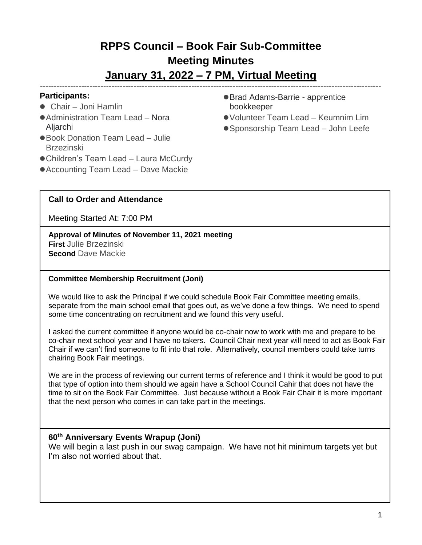# **RPPS Council – Book Fair Sub-Committee Meeting Minutes**

## **January 31, 2022 – 7 PM, Virtual Meeting**  ----------------------------------------------------------------------------------------------------------------------------

## **Participants:**

- Chair Joni Hamlin
- Administration Team Lead Nora Aljarchi
- Book Donation Team Lead Julie Brzezinski
- Children's Team Lead Laura McCurdy
- Accounting Team Lead Dave Mackie
- Brad Adams-Barrie apprentice bookkeeper
- ●Volunteer Team Lead Keumnim Lim
- Sponsorship Team Lead John Leefe

# **Call to Order and Attendance**

Meeting Started At: 7:00 PM

**Approval of Minutes of November 11, 2021 meeting First** Julie Brzezinski **Second** Dave Mackie

#### **Committee Membership Recruitment (Joni)**

We would like to ask the Principal if we could schedule Book Fair Committee meeting emails, separate from the main school email that goes out, as we've done a few things. We need to spend some time concentrating on recruitment and we found this very useful.

I asked the current committee if anyone would be co-chair now to work with me and prepare to be co-chair next school year and I have no takers. Council Chair next year will need to act as Book Fair Chair if we can't find someone to fit into that role. Alternatively, council members could take turns chairing Book Fair meetings.

We are in the process of reviewing our current terms of reference and I think it would be good to put that type of option into them should we again have a School Council Cahir that does not have the time to sit on the Book Fair Committee. Just because without a Book Fair Chair it is more important that the next person who comes in can take part in the meetings.

## **60 th Anniversary Events Wrapup (Joni)**

We will begin a last push in our swag campaign. We have not hit minimum targets yet but I'm also not worried about that.